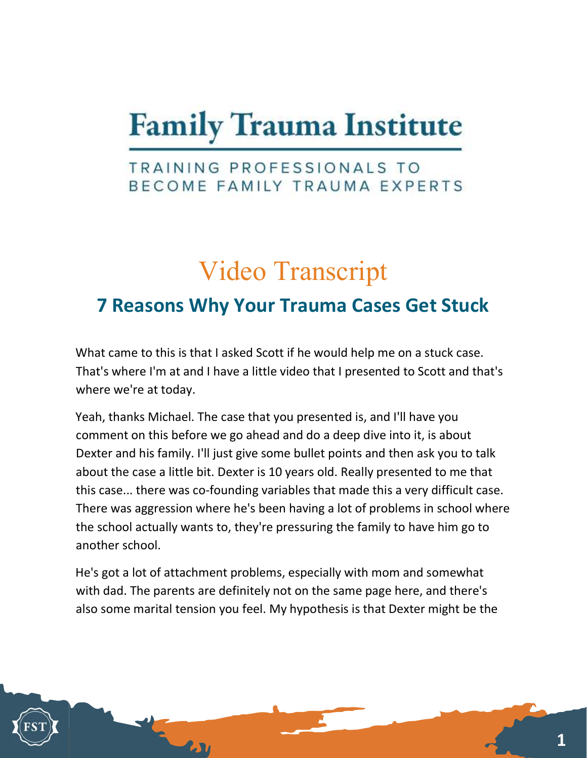# **Family Trauma Institute**

### TRAINING PROFESSIONALS TO BECOME FAMILY TRAUMA EXPERTS

## Video Transcript

### 7 Reasons Why Your Trauma Cases Get Stuck

What came to this is that I asked Scott if he would help me on a stuck case. That's where I'm at and I have a little video that I presented to Scott and that's where we're at today.

Yeah, thanks Michael. The case that you presented is, and I'll have you comment on this before we go ahead and do a deep dive into it, is about Dexter and his family. I'll just give some bullet points and then ask you to talk about the case a little bit. Dexter is 10 years old. Really presented to me that this case... there was co-founding variables that made this a very difficult case. There was aggression where he's been having a lot of problems in school where the school actually wants to, they're pressuring the family to have him go to another school.

He's got a lot of attachment problems, especially with mom and somewhat with dad. The parents are definitely not on the same page here, and there's also some marital tension you feel. My hypothesis is that Dexter might be the

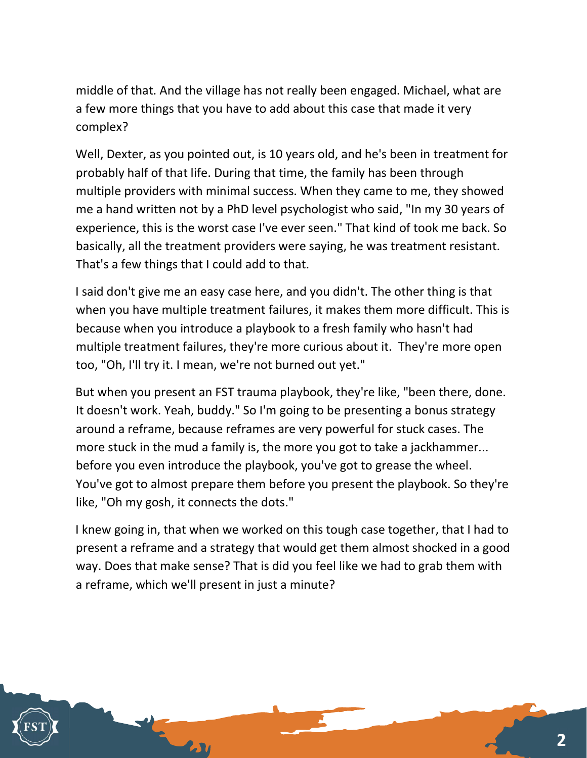middle of that. And the village has not really been engaged. Michael, what are a few more things that you have to add about this case that made it very complex?

Well, Dexter, as you pointed out, is 10 years old, and he's been in treatment for probably half of that life. During that time, the family has been through multiple providers with minimal success. When they came to me, they showed me a hand written not by a PhD level psychologist who said, "In my 30 years of experience, this is the worst case I've ever seen." That kind of took me back. So basically, all the treatment providers were saying, he was treatment resistant. That's a few things that I could add to that.

I said don't give me an easy case here, and you didn't. The other thing is that when you have multiple treatment failures, it makes them more difficult. This is because when you introduce a playbook to a fresh family who hasn't had multiple treatment failures, they're more curious about it. They're more open too, "Oh, I'll try it. I mean, we're not burned out yet."

But when you present an FST trauma playbook, they're like, "been there, done. It doesn't work. Yeah, buddy." So I'm going to be presenting a bonus strategy around a reframe, because reframes are very powerful for stuck cases. The more stuck in the mud a family is, the more you got to take a jackhammer... before you even introduce the playbook, you've got to grease the wheel. You've got to almost prepare them before you present the playbook. So they're like, "Oh my gosh, it connects the dots."

I knew going in, that when we worked on this tough case together, that I had to present a reframe and a strategy that would get them almost shocked in a good way. Does that make sense? That is did you feel like we had to grab them with a reframe, which we'll present in just a minute?

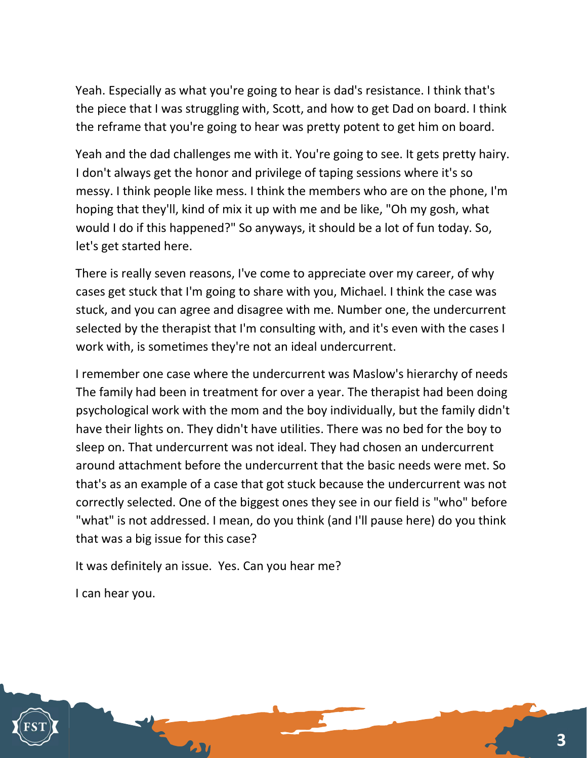Yeah. Especially as what you're going to hear is dad's resistance. I think that's the piece that I was struggling with, Scott, and how to get Dad on board. I think the reframe that you're going to hear was pretty potent to get him on board.

Yeah and the dad challenges me with it. You're going to see. It gets pretty hairy. I don't always get the honor and privilege of taping sessions where it's so messy. I think people like mess. I think the members who are on the phone, I'm hoping that they'll, kind of mix it up with me and be like, "Oh my gosh, what would I do if this happened?" So anyways, it should be a lot of fun today. So, let's get started here.

There is really seven reasons, I've come to appreciate over my career, of why cases get stuck that I'm going to share with you, Michael. I think the case was stuck, and you can agree and disagree with me. Number one, the undercurrent selected by the therapist that I'm consulting with, and it's even with the cases I work with, is sometimes they're not an ideal undercurrent.

I remember one case where the undercurrent was Maslow's hierarchy of needs The family had been in treatment for over a year. The therapist had been doing psychological work with the mom and the boy individually, but the family didn't have their lights on. They didn't have utilities. There was no bed for the boy to sleep on. That undercurrent was not ideal. They had chosen an undercurrent around attachment before the undercurrent that the basic needs were met. So that's as an example of a case that got stuck because the undercurrent was not correctly selected. One of the biggest ones they see in our field is "who" before "what" is not addressed. I mean, do you think (and I'll pause here) do you think that was a big issue for this case?

It was definitely an issue. Yes. Can you hear me?

I can hear you.

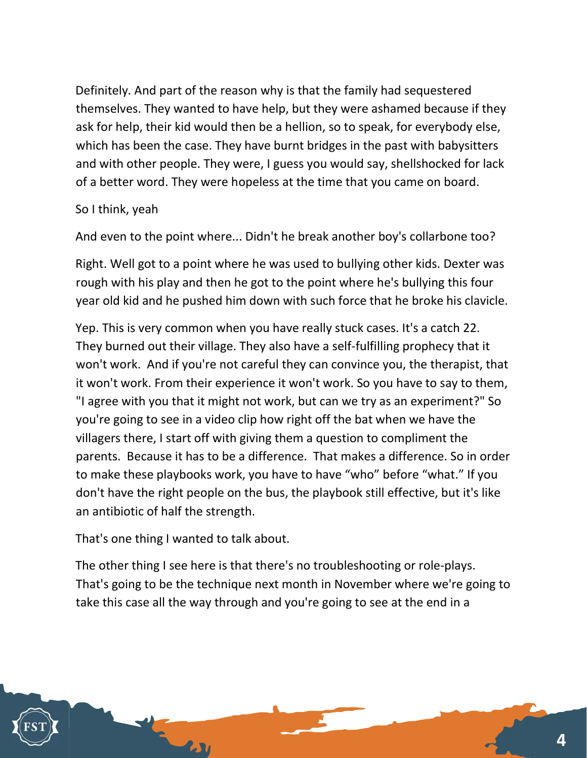Definitely. And part of the reason why is that the family had sequestered themselves. They wanted to have help, but they were ashamed because if they ask for help, their kid would then be a hellion, so to speak, for everybody else, which has been the case. They have burnt bridges in the past with babysitters and with other people. They were, I guess you would say, shellshocked for lack of a better word. They were hopeless at the time that you came on board.

#### So I think, yeah

And even to the point where... Didn't he break another boy's collarbone too?

Right. Well got to a point where he was used to bullying other kids. Dexter was rough with his play and then he got to the point where he's bullying this four year old kid and he pushed him down with such force that he broke his clavicle.

Yep. This is very common when you have really stuck cases. It's a catch 22. They burned out their village. They also have a self-fulfilling prophecy that it won't work. And if you're not careful they can convince you, the therapist, that it won't work. From their experience it won't work. So you have to say to them, "I agree with you that it might not work, but can we try as an experiment?" So you're going to see in a video clip how right off the bat when we have the villagers there, I start off with giving them a question to compliment the parents. Because it has to be a difference. That makes a difference. So in order to make these playbooks work, you have to have "who" before "what." If you don't have the right people on the bus, the playbook still effective, but it's like an antibiotic of half the strength.

That's one thing I wanted to talk about.

The other thing I see here is that there's no troubleshooting or role-plays. That's going to be the technique next month in November where we're going to take this case all the way through and you're going to see at the end in a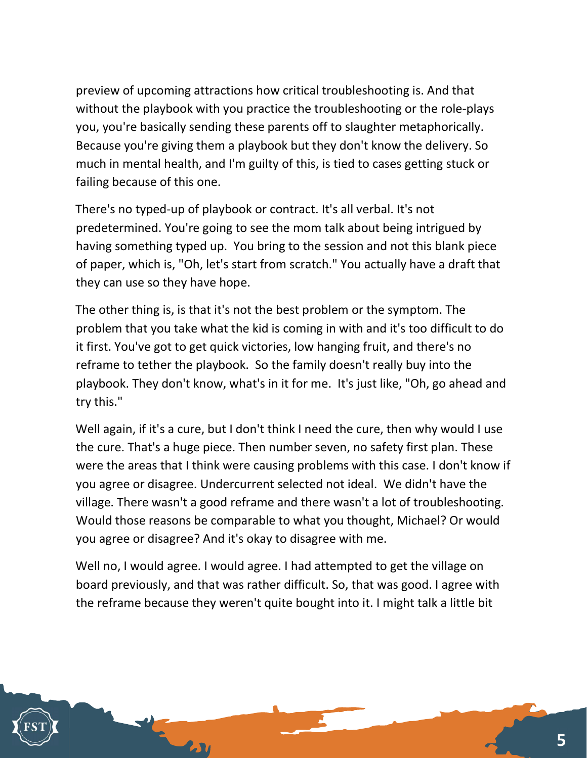preview of upcoming attractions how critical troubleshooting is. And that without the playbook with you practice the troubleshooting or the role-plays you, you're basically sending these parents off to slaughter metaphorically. Because you're giving them a playbook but they don't know the delivery. So much in mental health, and I'm guilty of this, is tied to cases getting stuck or failing because of this one.

There's no typed-up of playbook or contract. It's all verbal. It's not predetermined. You're going to see the mom talk about being intrigued by having something typed up. You bring to the session and not this blank piece of paper, which is, "Oh, let's start from scratch." You actually have a draft that they can use so they have hope.

The other thing is, is that it's not the best problem or the symptom. The problem that you take what the kid is coming in with and it's too difficult to do it first. You've got to get quick victories, low hanging fruit, and there's no reframe to tether the playbook. So the family doesn't really buy into the playbook. They don't know, what's in it for me. It's just like, "Oh, go ahead and try this."

Well again, if it's a cure, but I don't think I need the cure, then why would I use the cure. That's a huge piece. Then number seven, no safety first plan. These were the areas that I think were causing problems with this case. I don't know if you agree or disagree. Undercurrent selected not ideal. We didn't have the village. There wasn't a good reframe and there wasn't a lot of troubleshooting. Would those reasons be comparable to what you thought, Michael? Or would you agree or disagree? And it's okay to disagree with me.

Well no, I would agree. I would agree. I had attempted to get the village on board previously, and that was rather difficult. So, that was good. I agree with the reframe because they weren't quite bought into it. I might talk a little bit